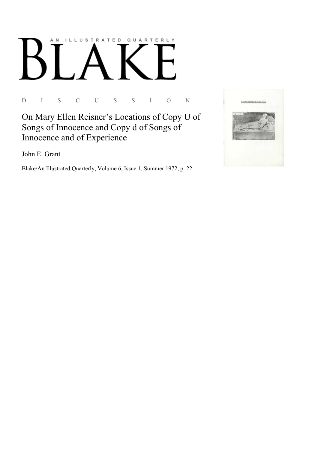# AN ILLUSTRATED QUARTERLY

D I S C U S S I O N

On Mary Ellen Reisner's Locations of Copy U of Songs of Innocence and Copy d of Songs of Innocence and of Experience

John E. Grant

Blake/An Illustrated Quarterly, Volume 6, Issue 1, Summer 1972, p. 22